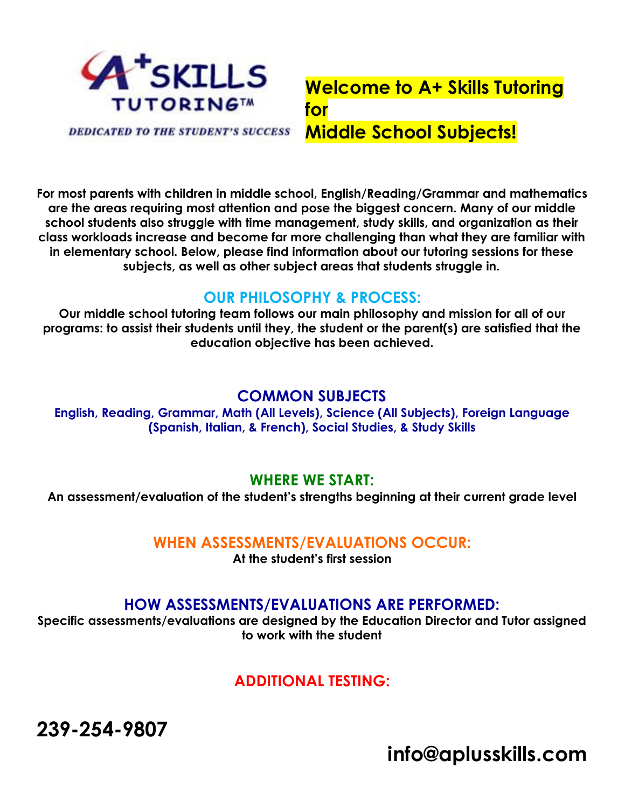

**DEDICATED TO THE STUDENT'S SUCCESS** 

**Welcome to A+ Skills Tutoring for Middle School Subjects!**

**For most parents with children in middle school, English/Reading/Grammar and mathematics are the areas requiring most attention and pose the biggest concern. Many of our middle school students also struggle with time management, study skills, and organization as their class workloads increase and become far more challenging than what they are familiar with in elementary school. Below, please find information about our tutoring sessions for these subjects, as well as other subject areas that students struggle in.**

# **OUR PHILOSOPHY & PROCESS:**

**Our middle school tutoring team follows our main philosophy and mission for all of our programs: to assist their students until they, the student or the parent(s) are satisfied that the education objective has been achieved.**

# **COMMON SUBJECTS**

**English, Reading, Grammar, Math (All Levels), Science (All Subjects), Foreign Language (Spanish, Italian, & French), Social Studies, & Study Skills**

# **WHERE WE START:**

**An assessment/evaluation of the student's strengths beginning at their current grade level**

# **WHEN ASSESSMENTS/EVALUATIONS OCCUR:**

**At the student's first session**

# **HOW ASSESSMENTS/EVALUATIONS ARE PERFORMED:**

**Specific assessments/evaluations are designed by the Education Director and Tutor assigned to work with the student**

# **ADDITIONAL TESTING:**

**239-254-9807**

**info@aplusskills.com**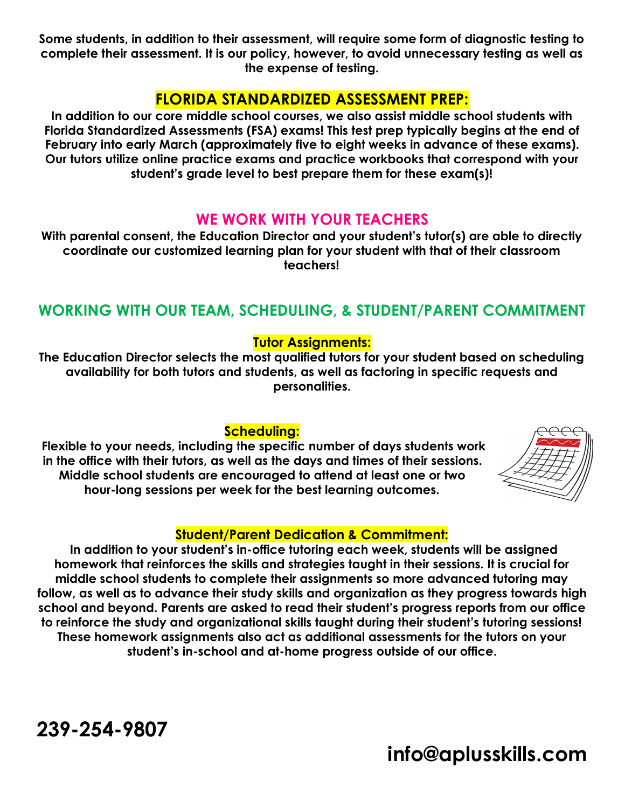**Some students, in addition to their assessment, will require some form of diagnostic testing to complete their assessment. It is our policy, however, to avoid unnecessary testing as well as the expense of testing.**

### **FLORIDA STANDARDIZED ASSESSMENT PREP:**

**In addition to our core middle school courses, we also assist middle school students with Florida Standardized Assessments (FSA) exams! This test prep typically begins at the end of February into early March (approximately five to eight weeks in advance of these exams). Our tutors utilize online practice exams and practice workbooks that correspond with your student's grade level to best prepare them for these exam(s)!**

#### **WE WORK WITH YOUR TEACHERS**

**With parental consent, the Education Director and your student's tutor(s) are able to directly coordinate our customized learning plan for your student with that of their classroom teachers!**

# **WORKING WITH OUR TEAM, SCHEDULING, & STUDENT/PARENT COMMITMENT**

#### **Tutor Assignments:**

**The Education Director selects the most qualified tutors for your student based on scheduling availability for both tutors and students, as well as factoring in specific requests and personalities.**

#### **Scheduling:**

 **Flexible to your needs, including the specific number of days students work in the office with their tutors, as well as the days and times of their sessions. Middle school students are encouraged to attend at least one or two hour-long sessions per week for the best learning outcomes.**

#### **Student/Parent Dedication & Commitment:**

**In addition to your student's in-office tutoring each week, students will be assigned homework that reinforces the skills and strategies taught in their sessions. It is crucial for middle school students to complete their assignments so more advanced tutoring may follow, as well as to advance their study skills and organization as they progress towards high school and beyond. Parents are asked to read their student's progress reports from our office to reinforce the study and organizational skills taught during their student's tutoring sessions! These homework assignments also act as additional assessments for the tutors on your student's in-school and at-home progress outside of our office.**

# **info@aplusskills.com**